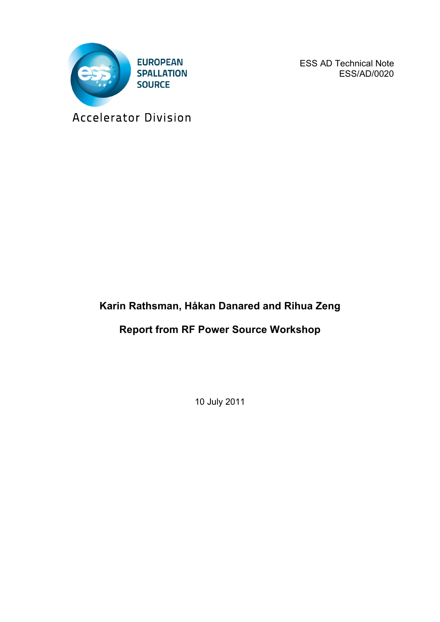

ESS AD Technical Note ESS/AD/0020

Accelerator Division

# **Karin Rathsman, Håkan Danared and Rihua Zeng**

# **Report from RF Power Source Workshop**

10 July 2011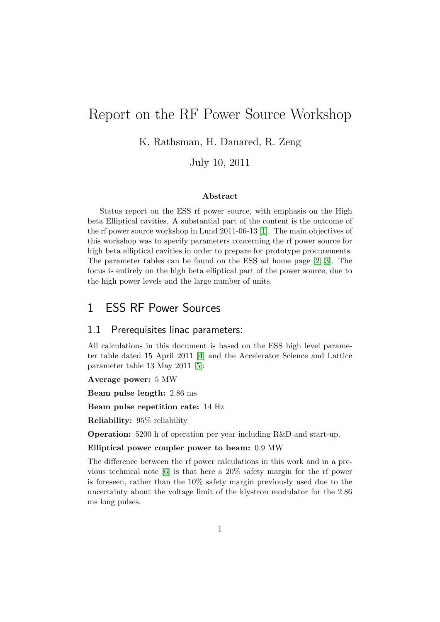# Report on the RF Power Source Workshop

K. Rathsman, H. Danared, R. Zeng

July 10, 2011

#### Abstract

Status report on the ESS rf power source, with emphasis on the High beta Elliptical cavities. A substantial part of the content is the outcome of the rf power source workshop in Lund 2011-06-13 [\[1\]](#page-10-0). The main objectives of this workshop was to specify parameters concerning the rf power source for high beta elliptical cavities in order to prepare for prototype procurements. The parameter tables can be found on the ESS ad home page [\[2,](#page-10-1) [3\]](#page-11-0). The focus is entirely on the high beta elliptical part of the power source, due to the high power levels and the large number of units.

## 1 ESS RF Power Sources

#### 1.1 Prerequisites linac parameters:

All calculations in this document is based on the ESS high level parameter table dated 15 April 2011 [\[4\]](#page-11-1) and the Accelerator Science and Lattice parameter table 13 May 2011 [\[5\]](#page-11-2):

#### Average power: 5 MW

Beam pulse length: 2.86 ms

Beam pulse repetition rate: 14 Hz

Reliability: 95% reliability

Operation: 5200 h of operation per year including R&D and start-up.

#### Elliptical power coupler power to beam: 0.9 MW

The difference between the rf power calculations in this work and in a previous technical note [\[6\]](#page-11-3) is that here a 20% safety margin for the rf power is foreseen, rather than the 10% safety margin previously used due to the uncertainty about the voltage limit of the klystron modulator for the 2.86 ms long pulses.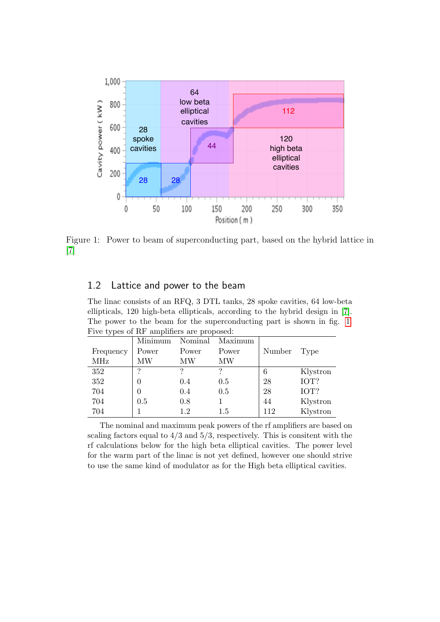<span id="page-2-0"></span>

Figure 1: Power to beam of superconducting part, based on the hybrid lattice in [\[7\]](#page-11-4)

### 1.2 Lattice and power to the beam

The linac consists of an RFQ, 3 DTL tanks, 28 spoke cavities, 64 low-beta ellipticals, 120 high-beta ellipticals, according to the hybrid design in [\[7\]](#page-11-4). The power to the beam for the superconducting part is shown in fig. [1.](#page-2-0) Five types of RF amplifiers are proposed:

|           | Minimum          | Nominal | Maximum |        |          |
|-----------|------------------|---------|---------|--------|----------|
| Frequency | Power            | Power   | Power   | Number | Type     |
| MHz       | MW               | MW      | MW      |        |          |
| 352       | ာ                |         |         | 6      | Klystron |
| 352       |                  | 0.4     | 0.5     | 28     | IOT?     |
| 704       | $\left( \right)$ | 0.4     | 0.5     | 28     | IOT?     |
| 704       | 0.5              | 0.8     |         | 44     | Klystron |
| 704       |                  | 1.2     | 1.5     | 112    | Klystron |

The nominal and maximum peak powers of the rf amplifiers are based on scaling factors equal to  $4/3$  and  $5/3$ , respectively. This is consitent with the rf calculations below for the high beta elliptical cavities. The power level for the warm part of the linac is not yet defined, however one should strive to use the same kind of modulator as for the High beta elliptical cavities.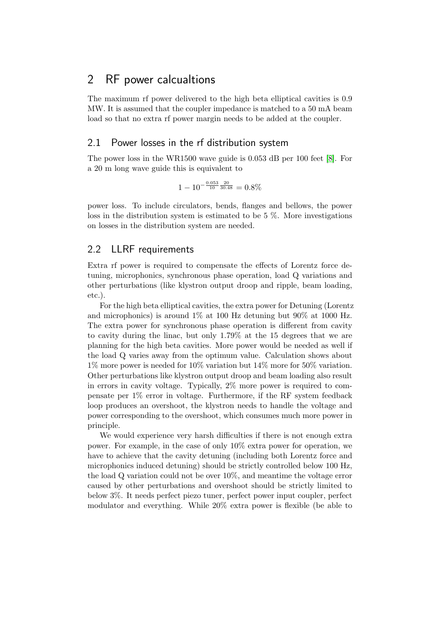## 2 RF power calcualtions

The maximum rf power delivered to the high beta elliptical cavities is 0.9 MW. It is assumed that the coupler impedance is matched to a 50 mA beam load so that no extra rf power margin needs to be added at the coupler.

### 2.1 Power losses in the rf distribution system

The power loss in the WR1500 wave guide is 0.053 dB per 100 feet [\[8\]](#page-11-5). For a 20 m long wave guide this is equivalent to

$$
1 - 10^{-\frac{0.053}{10} \frac{20}{30.48}} = 0.8\%
$$

power loss. To include circulators, bends, flanges and bellows, the power loss in the distribution system is estimated to be 5 %. More investigations on losses in the distribution system are needed.

### <span id="page-3-0"></span>2.2 LLRF requirements

Extra rf power is required to compensate the effects of Lorentz force detuning, microphonics, synchronous phase operation, load Q variations and other perturbations (like klystron output droop and ripple, beam loading, etc.).

For the high beta elliptical cavities, the extra power for Detuning (Lorentz and microphonics) is around 1% at 100 Hz detuning but 90% at 1000 Hz. The extra power for synchronous phase operation is different from cavity to cavity during the linac, but only 1.79% at the 15 degrees that we are planning for the high beta cavities. More power would be needed as well if the load Q varies away from the optimum value. Calculation shows about 1% more power is needed for 10% variation but 14% more for 50% variation. Other perturbations like klystron output droop and beam loading also result in errors in cavity voltage. Typically, 2% more power is required to compensate per 1% error in voltage. Furthermore, if the RF system feedback loop produces an overshoot, the klystron needs to handle the voltage and power corresponding to the overshoot, which consumes much more power in principle.

We would experience very harsh difficulties if there is not enough extra power. For example, in the case of only 10% extra power for operation, we have to achieve that the cavity detuning (including both Lorentz force and microphonics induced detuning) should be strictly controlled below 100 Hz, the load Q variation could not be over 10%, and meantime the voltage error caused by other perturbations and overshoot should be strictly limited to below 3%. It needs perfect piezo tuner, perfect power input coupler, perfect modulator and everything. While 20% extra power is flexible (be able to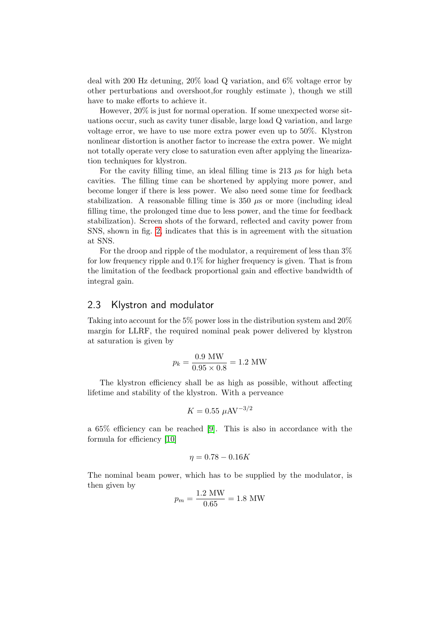deal with 200 Hz detuning, 20% load Q variation, and 6% voltage error by other perturbations and overshoot,for roughly estimate ), though we still have to make efforts to achieve it.

However, 20% is just for normal operation. If some unexpected worse situations occur, such as cavity tuner disable, large load Q variation, and large voltage error, we have to use more extra power even up to 50%. Klystron nonlinear distortion is another factor to increase the extra power. We might not totally operate very close to saturation even after applying the linearization techniques for klystron.

For the cavity filling time, an ideal filling time is 213  $\mu$ s for high beta cavities. The filling time can be shortened by applying more power, and become longer if there is less power. We also need some time for feedback stabilization. A reasonable filling time is  $350 \mu s$  or more (including ideal filling time, the prolonged time due to less power, and the time for feedback stabilization). Screen shots of the forward, reflected and cavity power from SNS, shown in fig. [2,](#page-5-0) indicates that this is in agreement with the situation at SNS.

For the droop and ripple of the modulator, a requirement of less than  $3\%$ for low frequency ripple and 0.1% for higher frequency is given. That is from the limitation of the feedback proportional gain and effective bandwidth of integral gain.

#### 2.3 Klystron and modulator

Taking into account for the 5% power loss in the distribution system and 20% margin for LLRF, the required nominal peak power delivered by klystron at saturation is given by

$$
p_k = \frac{0.9 \text{ MW}}{0.95 \times 0.8} = 1.2 \text{ MW}
$$

The klystron efficiency shall be as high as possible, without affecting lifetime and stability of the klystron. With a perveance

$$
K = 0.55 \ \mu\text{AV}^{-3/2}
$$

a 65% efficiency can be reached [\[9\]](#page-11-6). This is also in accordance with the formula for efficiency [\[10\]](#page-11-7)

$$
\eta = 0.78 - 0.16K
$$

The nominal beam power, which has to be supplied by the modulator, is then given by

$$
p_m = \frac{1.2 \text{ MW}}{0.65} = 1.8 \text{ MW}
$$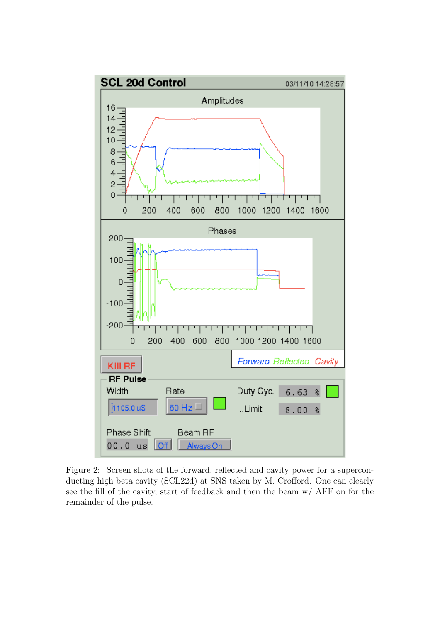<span id="page-5-0"></span>

Figure 2: Screen shots of the forward, reflected and cavity power for a superconducting high beta cavity (SCL22d) at SNS taken by M. Crofford. One can clearly see the fill of the cavity, start of feedback and then the beam w/ AFF on for the remainder of the pulse.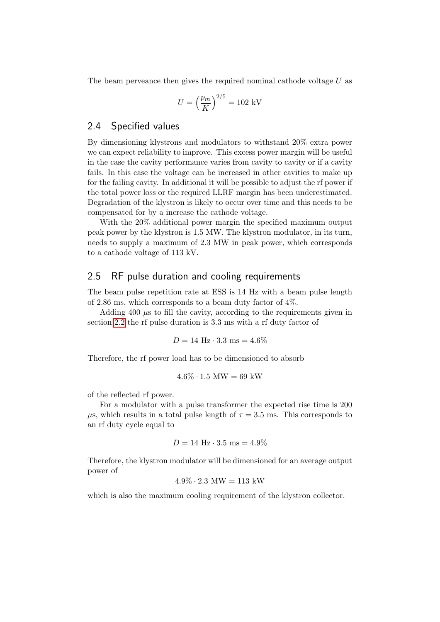The beam perveance then gives the required nominal cathode voltage U as

$$
U=\left(\frac{p_m}{K}\right)^{2/5}=102~\mathrm{kV}
$$

#### 2.4 Specified values

By dimensioning klystrons and modulators to withstand 20% extra power we can expect reliability to improve. This excess power margin will be useful in the case the cavity performance varies from cavity to cavity or if a cavity fails. In this case the voltage can be increased in other cavities to make up for the failing cavity. In additional it will be possible to adjust the rf power if the total power loss or the required LLRF margin has been underestimated. Degradation of the klystron is likely to occur over time and this needs to be compensated for by a increase the cathode voltage.

With the 20% additional power margin the specified maximum output peak power by the klystron is 1.5 MW. The klystron modulator, in its turn, needs to supply a maximum of 2.3 MW in peak power, which corresponds to a cathode voltage of 113 kV.

#### 2.5 RF pulse duration and cooling requirements

The beam pulse repetition rate at ESS is 14 Hz with a beam pulse length of 2.86 ms, which corresponds to a beam duty factor of  $4\%$ .

Adding  $400 \mu s$  to fill the cavity, according to the requirements given in section [2.2](#page-3-0) the rf pulse duration is 3.3 ms with a rf duty factor of

$$
D = 14 \text{ Hz} \cdot 3.3 \text{ ms} = 4.6\%
$$

Therefore, the rf power load has to be dimensioned to absorb

$$
4.6\% \cdot 1.5 \text{ MW} = 69 \text{ kW}
$$

of the reflected rf power.

For a modulator with a pulse transformer the expected rise time is 200  $\mu$ s, which results in a total pulse length of  $\tau = 3.5$  ms. This corresponds to an rf duty cycle equal to

$$
D = 14 \text{ Hz} \cdot 3.5 \text{ ms} = 4.9\%
$$

Therefore, the klystron modulator will be dimensioned for an average output power of

$$
4.9\% \cdot 2.3 \text{ MW} = 113 \text{ kW}
$$

which is also the maximum cooling requirement of the klystron collector.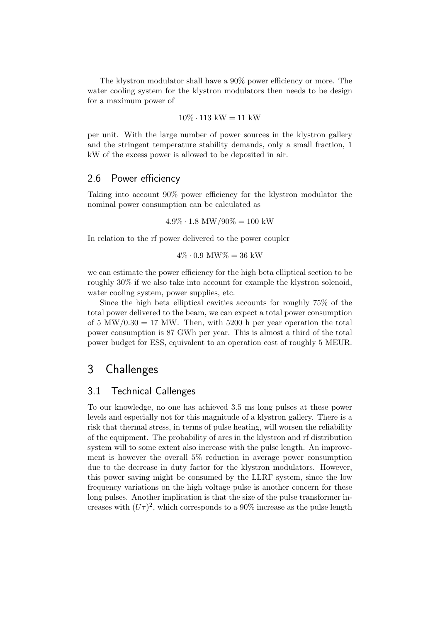The klystron modulator shall have a 90% power efficiency or more. The water cooling system for the klystron modulators then needs to be design for a maximum power of

$$
10\% \cdot 113 \text{ kW} = 11 \text{ kW}
$$

per unit. With the large number of power sources in the klystron gallery and the stringent temperature stability demands, only a small fraction, 1 kW of the excess power is allowed to be deposited in air.

#### 2.6 Power efficiency

Taking into account 90% power efficiency for the klystron modulator the nominal power consumption can be calculated as

$$
4.9\% \cdot 1.8 \text{ MW}/90\% = 100 \text{ kW}
$$

In relation to the rf power delivered to the power coupler

$$
4\% \cdot 0.9 \text{ MW}\% = 36 \text{ kW}
$$

we can estimate the power efficiency for the high beta elliptical section to be roughly 30% if we also take into account for example the klystron solenoid, water cooling system, power supplies, etc.

Since the high beta elliptical cavities accounts for roughly 75% of the total power delivered to the beam, we can expect a total power consumption of 5 MW/0.30 = 17 MW. Then, with 5200 h per year operation the total power consumption is 87 GWh per year. This is almost a third of the total power budget for ESS, equivalent to an operation cost of roughly 5 MEUR.

## 3 Challenges

#### 3.1 Technical Callenges

To our knowledge, no one has achieved 3.5 ms long pulses at these power levels and especially not for this magnitude of a klystron gallery. There is a risk that thermal stress, in terms of pulse heating, will worsen the reliability of the equipment. The probability of arcs in the klystron and rf distribution system will to some extent also increase with the pulse length. An improvement is however the overall 5% reduction in average power consumption due to the decrease in duty factor for the klystron modulators. However, this power saving might be consumed by the LLRF system, since the low frequency variations on the high voltage pulse is another concern for these long pulses. Another implication is that the size of the pulse transformer increases with  $(U\tau)^2$ , which corresponds to a 90% increase as the pulse length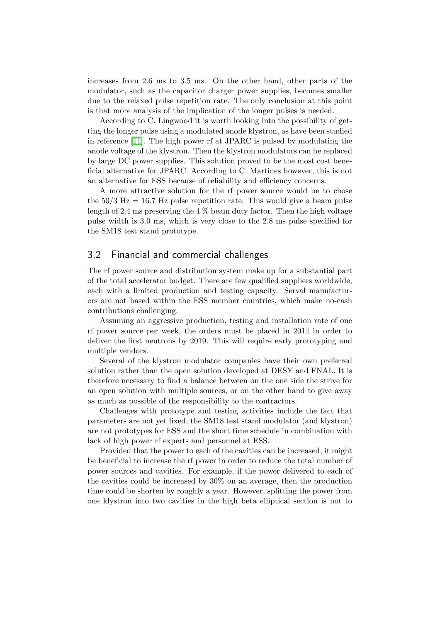increases from 2.6 ms to 3.5 ms. On the other hand, other parts of the modulator, such as the capacitor charger power supplies, becomes smaller due to the relaxed pulse repetition rate. The only conclusion at this point is that more analysis of the implication of the longer pulses is needed.

According to C. Lingwood it is worth looking into the possibility of getting the longer pulse using a modulated anode klystron, as have been studied in reference [\[11\]](#page-11-8). The high power rf at JPARC is pulsed by modulating the anode voltage of the klystron. Then the klystron modulators can be replaced by large DC power supplies. This solution proved to be the most cost beneficial alternative for JPARC. According to C. Martines however, this is not an alternative for ESS because of reliability and efficiency concerns.

A more attractive solution for the rf power source would be to chose the  $50/3$  Hz = 16.7 Hz pulse repetition rate. This would give a beam pulse length of 2.4 ms preserving the 4 % beam duty factor. Then the high voltage pulse width is 3.0 ms, which is very close to the 2.8 ms pulse specified for the SM18 test stand prototype.

#### 3.2 Financial and commercial challenges

The rf power source and distribution system make up for a substantial part of the total accelerator budget. There are few qualified suppliers worldwide, each with a limited production and testing capacity. Serval manufacturers are not based within the ESS member countries, which make no-cash contributions challenging.

Assuming an aggressive production, testing and installation rate of one rf power source per week, the orders must be placed in 2014 in order to deliver the first neutrons by 2019. This will require early prototyping and multiple vendors.

Several of the klystron modulator companies have their own preferred solution rather than the open solution developed at DESY and FNAL. It is therefore necessary to find a balance between on the one side the strive for an open solution with multiple sources, or on the other hand to give away as much as possible of the responsibility to the contractors.

Challenges with prototype and testing activities include the fact that parameters are not yet fixed, the SM18 test stand modulator (and klystron) are not prototypes for ESS and the short time schedule in combination with lack of high power rf experts and personnel at ESS.

Provided that the power to each of the cavities can be increased, it might be beneficial to increase the rf power in order to reduce the total number of power sources and cavities. For example, if the power delivered to each of the cavities could be increased by 30% on an average, then the production time could be shorten by roughly a year. However, splitting the power from one klystron into two cavities in the high beta elliptical section is not to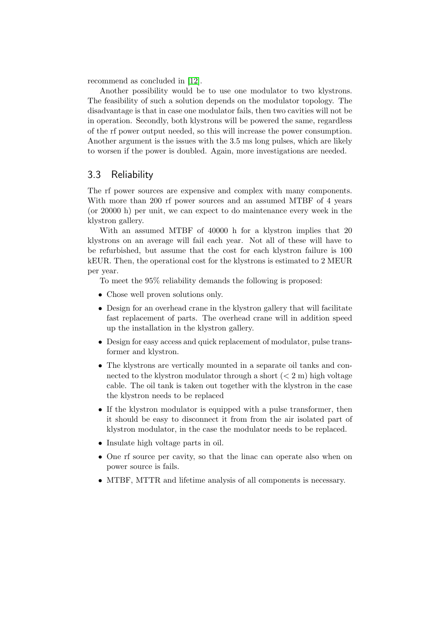recommend as concluded in [\[12\]](#page-11-9).

Another possibility would be to use one modulator to two klystrons. The feasibility of such a solution depends on the modulator topology. The disadvantage is that in case one modulator fails, then two cavities will not be in operation. Secondly, both klystrons will be powered the same, regardless of the rf power output needed, so this will increase the power consumption. Another argument is the issues with the 3.5 ms long pulses, which are likely to worsen if the power is doubled. Again, more investigations are needed.

### 3.3 Reliability

The rf power sources are expensive and complex with many components. With more than 200 rf power sources and an assumed MTBF of 4 years (or 20000 h) per unit, we can expect to do maintenance every week in the klystron gallery.

With an assumed MTBF of 40000 h for a klystron implies that 20 klystrons on an average will fail each year. Not all of these will have to be refurbished, but assume that the cost for each klystron failure is 100 kEUR. Then, the operational cost for the klystrons is estimated to 2 MEUR per year.

To meet the 95% reliability demands the following is proposed:

- Chose well proven solutions only.
- Design for an overhead crane in the klystron gallery that will facilitate fast replacement of parts. The overhead crane will in addition speed up the installation in the klystron gallery.
- Design for easy access and quick replacement of modulator, pulse transformer and klystron.
- The klystrons are vertically mounted in a separate oil tanks and connected to the klystron modulator through a short  $(< 2 \text{ m})$  high voltage cable. The oil tank is taken out together with the klystron in the case the klystron needs to be replaced
- If the klystron modulator is equipped with a pulse transformer, then it should be easy to disconnect it from from the air isolated part of klystron modulator, in the case the modulator needs to be replaced.
- Insulate high voltage parts in oil.
- One rf source per cavity, so that the linac can operate also when on power source is fails.
- MTBF, MTTR and lifetime analysis of all components is necessary.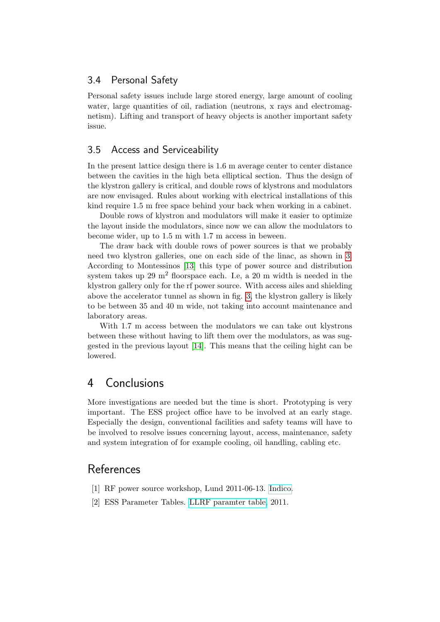### 3.4 Personal Safety

Personal safety issues include large stored energy, large amount of cooling water, large quantities of oil, radiation (neutrons, x rays and electromagnetism). Lifting and transport of heavy objects is another important safety issue.

## 3.5 Access and Serviceability

In the present lattice design there is 1.6 m average center to center distance between the cavities in the high beta elliptical section. Thus the design of the klystron gallery is critical, and double rows of klystrons and modulators are now envisaged. Rules about working with electrical installations of this kind require 1.5 m free space behind your back when working in a cabinet.

Double rows of klystron and modulators will make it easier to optimize the layout inside the modulators, since now we can allow the modulators to become wider, up to 1.5 m with 1.7 m access in beween.

The draw back with double rows of power sources is that we probably need two klystron galleries, one on each side of the linac, as shown in [3.](#page-11-10) According to Montessinos [\[13\]](#page-11-11) this type of power source and distribution system takes up 29  $m^2$  floorspace each. I.e, a 20 m width is needed in the klystron gallery only for the rf power source. With access ailes and shielding above the accelerator tunnel as shown in fig. [3,](#page-11-10) the klystron gallery is likely to be between 35 and 40 m wide, not taking into account maintenance and laboratory areas.

With 1.7 m access between the modulators we can take out klystrons between these without having to lift them over the modulators, as was suggested in the previous layout [\[14\]](#page-11-12). This means that the ceiling hight can be lowered.

## 4 Conclusions

More investigations are needed but the time is short. Prototyping is very important. The ESS project office have to be involved at an early stage. Especially the design, conventional facilities and safety teams will have to be involved to resolve issues concerning layout, access, maintenance, safety and system integration of for example cooling, oil handling, cabling etc.

## **References**

- <span id="page-10-0"></span>[1] RF power source workshop, Lund 2011-06-13. [Indico.](http://indico.hep.lu.se//conferenceDisplay.py?confId=1112)
- <span id="page-10-1"></span>[2] ESS Parameter Tables. [LLRF paramter table,](http://www.esss.se/linac/Parameters/LLRF.pdf) 2011.